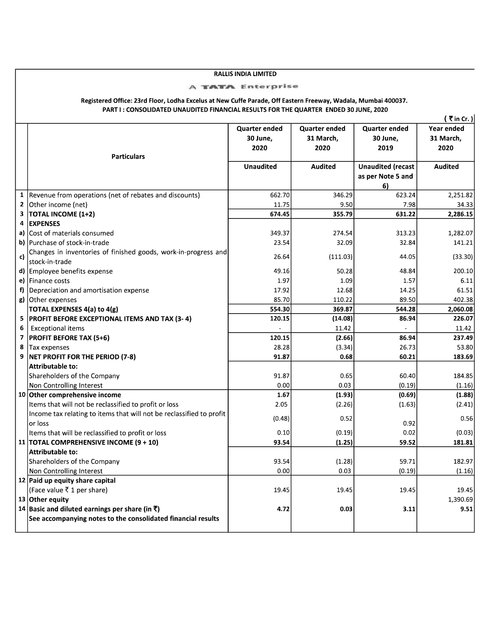## **RALLIS INDIA LIMITED**

## **A TATA Enterprise**

## Registered Office: 23rd Floor, Lodha Excelus at New Cuffe Parade, Off Eastern Freeway, Wadala, Mumbai 400037. PART I : CONSOLIDATED UNAUDITED FINANCIAL RESULTS FOR THE QUARTER ENDED 30 JUNE, 2020

|        |                                                                      |                  |                      |                          | (₹in Cr.)         |
|--------|----------------------------------------------------------------------|------------------|----------------------|--------------------------|-------------------|
|        |                                                                      | Quarter ended    | <b>Quarter ended</b> | <b>Quarter ended</b>     | Year ended        |
|        |                                                                      | 30 June,         | 31 March,            | 30 June,                 | 31 March.         |
|        |                                                                      | 2020             | 2020                 | 2019                     | 2020              |
|        | <b>Particulars</b>                                                   |                  |                      |                          |                   |
|        |                                                                      | <b>Unaudited</b> | <b>Audited</b>       | <b>Unaudited (recast</b> | <b>Audited</b>    |
|        |                                                                      |                  |                      | as per Note 5 and        |                   |
|        |                                                                      |                  |                      | 6)                       |                   |
| 1      | Revenue from operations (net of rebates and discounts)               | 662.70<br>11.75  | 346.29<br>9.50       | 623.24<br>7.98           | 2,251.82<br>34.33 |
| 2<br>3 | Other income (net)                                                   | 674.45           | 355.79               | 631.22                   | 2,286.15          |
| 4      | <b>TOTAL INCOME (1+2)</b><br><b>EXPENSES</b>                         |                  |                      |                          |                   |
|        | a) Cost of materials consumed                                        |                  |                      |                          | 1,282.07          |
|        |                                                                      | 349.37           | 274.54               | 313.23                   |                   |
|        | b) Purchase of stock-in-trade                                        | 23.54            | 32.09                | 32.84                    | 141.21            |
| c)     | Changes in inventories of finished goods, work-in-progress and       | 26.64            | (111.03)             | 44.05                    | (33.30)           |
|        | stock-in-trade                                                       | 49.16            |                      | 48.84                    | 200.10            |
|        | d) Employee benefits expense                                         |                  | 50.28                |                          |                   |
|        | e) Finance costs                                                     | 1.97             | 1.09                 | 1.57                     | 6.11              |
|        | f) Depreciation and amortisation expense                             | 17.92            | 12.68                | 14.25                    | 61.51             |
|        | g) Other expenses                                                    | 85.70            | 110.22               | 89.50                    | 402.38            |
|        | <b>TOTAL EXPENSES 4(a) to 4(g)</b>                                   | 554.30           | 369.87               | 544.28                   | 2,060.08          |
| 5      | <b>PROFIT BEFORE EXCEPTIONAL ITEMS AND TAX (3-4)</b>                 | 120.15           | (14.08)              | 86.94                    | 226.07            |
| 6      | <b>Exceptional items</b>                                             |                  | 11.42                |                          | 11.42             |
| 7      | <b>PROFIT BEFORE TAX (5+6)</b>                                       | 120.15           | (2.66)               | 86.94                    | 237.49            |
| 8      | Tax expenses                                                         | 28.28            | (3.34)               | 26.73                    | 53.80             |
| 9      | NET PROFIT FOR THE PERIOD (7-8)                                      | 91.87            | 0.68                 | 60.21                    | 183.69            |
|        | <b>Attributable to:</b>                                              |                  |                      |                          |                   |
|        | Shareholders of the Company                                          | 91.87            | 0.65                 | 60.40                    | 184.85            |
|        | Non Controlling Interest                                             | 0.00             | 0.03                 | (0.19)                   | (1.16)            |
|        | 10 Other comprehensive income                                        | 1.67             | (1.93)               | (0.69)                   | (1.88)            |
|        | Items that will not be reclassified to profit or loss                | 2.05             | (2.26)               | (1.63)                   | (2.41)            |
|        | Income tax relating to items that will not be reclassified to profit | (0.48)           | 0.52                 |                          | 0.56              |
|        | or loss                                                              |                  |                      | 0.92                     |                   |
|        | Items that will be reclassified to profit or loss                    | 0.10             | (0.19)               | 0.02                     | (0.03)            |
|        | 11   TOTAL COMPREHENSIVE INCOME $(9 + 10)$                           | 93.54            | (1.25)               | 59.52                    | 181.81            |
|        | Attributable to:                                                     |                  |                      |                          |                   |
|        | Shareholders of the Company                                          | 93.54            | (1.28)               | 59.71                    | 182.97            |
|        | Non Controlling Interest                                             | 0.00             | 0.03                 | (0.19)                   | (1.16)            |
|        | 12 Paid up equity share capital                                      |                  |                      |                          |                   |
|        | (Face value ₹1 per share)                                            | 19.45            | 19.45                | 19.45                    | 19.45             |
|        | 13 Other equity                                                      |                  |                      |                          | 1,390.69          |
|        | 14 Basic and diluted earnings per share (in ₹)                       | 4.72             | 0.03                 | 3.11                     | 9.51              |
|        | See accompanying notes to the consolidated financial results         |                  |                      |                          |                   |
|        |                                                                      |                  |                      |                          |                   |